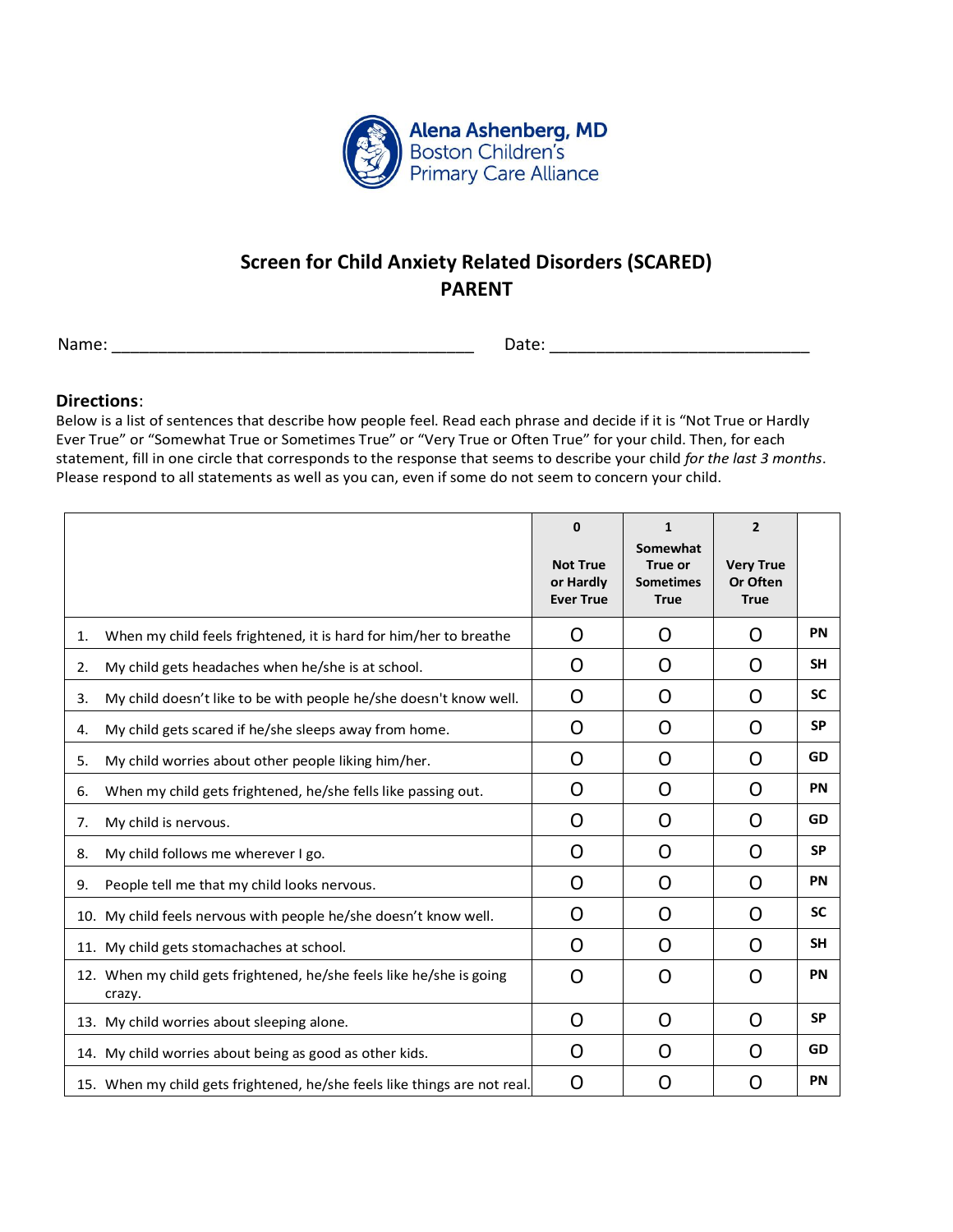

## **Screen for Child Anxiety Related Disorders (SCARED) PARENT**

Name: \_\_\_\_\_\_\_\_\_\_\_\_\_\_\_\_\_\_\_\_\_\_\_\_\_\_\_\_\_\_\_\_\_\_\_\_\_\_\_ Date: \_\_\_\_\_\_\_\_\_\_\_\_\_\_\_\_\_\_\_\_\_\_\_\_\_\_\_\_

## **Directions**:

Below is a list of sentences that describe how people feel. Read each phrase and decide if it is "Not True or Hardly Ever True" or "Somewhat True or Sometimes True" or "Very True or Often True" for your child. Then, for each statement, fill in one circle that corresponds to the response that seems to describe your child *for the last 3 months*. Please respond to all statements as well as you can, even if some do not seem to concern your child.

|    |                                                                                | 0<br><b>Not True</b><br>or Hardly<br><b>Ever True</b> | $\mathbf{1}$<br>Somewhat<br>True or<br><b>Sometimes</b><br><b>True</b> | $\overline{2}$<br><b>Very True</b><br>Or Often<br><b>True</b> |           |
|----|--------------------------------------------------------------------------------|-------------------------------------------------------|------------------------------------------------------------------------|---------------------------------------------------------------|-----------|
| 1. | When my child feels frightened, it is hard for him/her to breathe              | O                                                     | O                                                                      | O                                                             | PN        |
| 2. | My child gets headaches when he/she is at school.                              | O                                                     | O                                                                      | O                                                             | <b>SH</b> |
| 3. | My child doesn't like to be with people he/she doesn't know well.              | O                                                     | O                                                                      | O                                                             | <b>SC</b> |
| 4. | My child gets scared if he/she sleeps away from home.                          | O                                                     | O                                                                      | O                                                             | <b>SP</b> |
| 5. | My child worries about other people liking him/her.                            | O                                                     | O                                                                      | O                                                             | GD        |
| 6. | When my child gets frightened, he/she fells like passing out.                  | O                                                     | O                                                                      | O                                                             | PN        |
| 7. | My child is nervous.                                                           | O                                                     | O                                                                      | O                                                             | GD        |
| 8. | My child follows me wherever I go.                                             | O                                                     | O                                                                      | O                                                             | <b>SP</b> |
| 9. | People tell me that my child looks nervous.                                    | O                                                     | O                                                                      | O                                                             | <b>PN</b> |
|    | 10. My child feels nervous with people he/she doesn't know well.               | O                                                     | O                                                                      | O                                                             | <b>SC</b> |
|    | 11. My child gets stomachaches at school.                                      | O                                                     | O                                                                      | O                                                             | <b>SH</b> |
|    | 12. When my child gets frightened, he/she feels like he/she is going<br>crazy. | O                                                     | O                                                                      | O                                                             | PN        |
|    | 13. My child worries about sleeping alone.                                     | O                                                     | O                                                                      | O                                                             | <b>SP</b> |
|    | 14. My child worries about being as good as other kids.                        | O                                                     | O                                                                      | O                                                             | GD        |
|    | 15. When my child gets frightened, he/she feels like things are not real.      | O                                                     | O                                                                      | O                                                             | PN        |